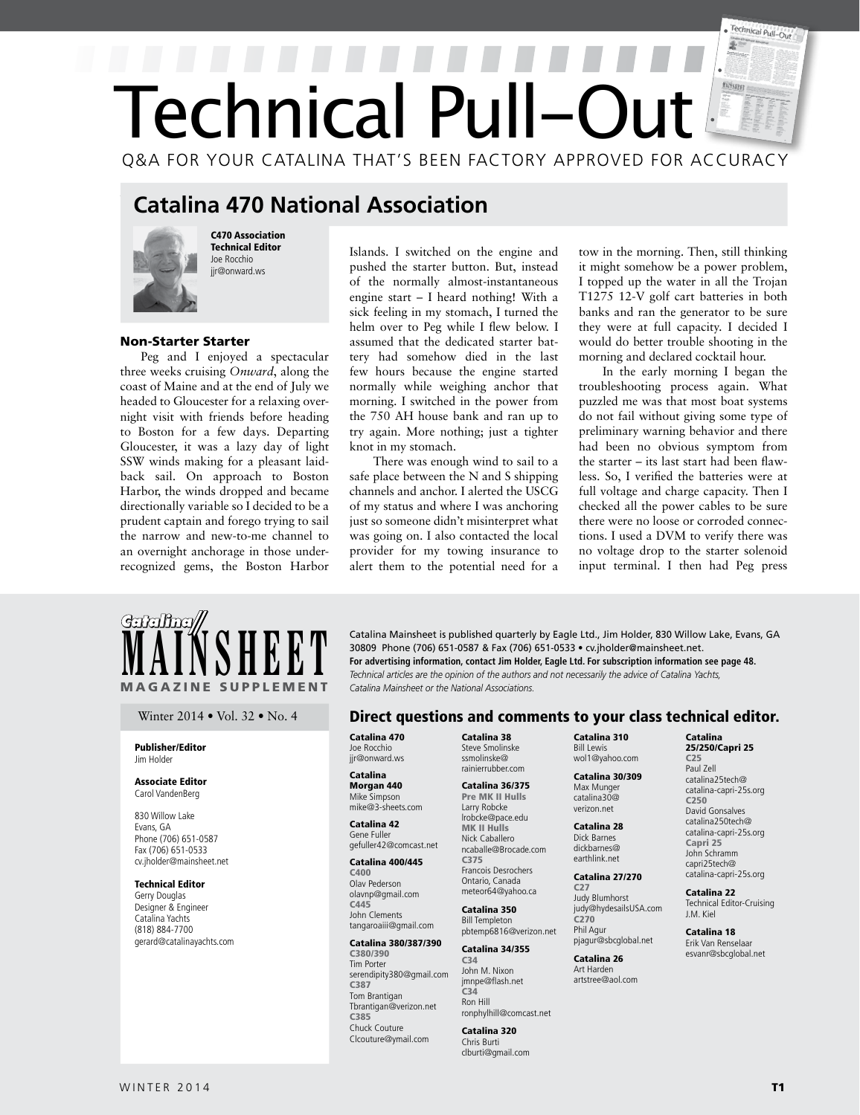# Technical Pull-Out  $\mathbb{F}$ Technical Pull-Ou Q&A FOR YOUR CATALINA THAT'S BEEN FACTORY APPROVED FOR ACCURACY

# **Catalina 470 National Association**



C470 Association Technical Editor Joe Rocchio jir@onward.ws

# Non-Starter Starter

Peg and I enjoyed a spectacular three weeks cruising *Onward*, along the coast of Maine and at the end of July we headed to Gloucester for a relaxing overnight visit with friends before heading to Boston for a few days. Departing Gloucester, it was a lazy day of light SSW winds making for a pleasant laidback sail. On approach to Boston Harbor, the winds dropped and became directionally variable so I decided to be a prudent captain and forego trying to sail the narrow and new-to-me channel to an overnight anchorage in those underrecognized gems, the Boston Harbor

Islands. I switched on the engine and pushed the starter button. But, instead of the normally almost-instantaneous engine start – I heard nothing! With a sick feeling in my stomach, I turned the helm over to Peg while I flew below. I assumed that the dedicated starter battery had somehow died in the last few hours because the engine started normally while weighing anchor that morning. I switched in the power from the 750 AH house bank and ran up to try again. More nothing; just a tighter knot in my stomach.

There was enough wind to sail to a safe place between the N and S shipping channels and anchor. I alerted the USCG of my status and where I was anchoring just so someone didn't misinterpret what was going on. I also contacted the local provider for my towing insurance to alert them to the potential need for a tow in the morning. Then, still thinking it might somehow be a power problem, I topped up the water in all the Trojan T1275 12-V golf cart batteries in both banks and ran the generator to be sure they were at full capacity. I decided I would do better trouble shooting in the morning and declared cocktail hour.

In the early morning I began the troubleshooting process again. What puzzled me was that most boat systems do not fail without giving some type of preliminary warning behavior and there had been no obvious symptom from the starter – its last start had been flawless. So, I verified the batteries were at full voltage and charge capacity. Then I checked all the power cables to be sure there were no loose or corroded connections. I used a DVM to verify there was no voltage drop to the starter solenoid input terminal. I then had Peg press



#### Publisher/Editor Jim Holder

#### Associate Editor Carol VandenBerg

830 Willow Lake Evans, GA Phone (706) 651-0587 Fax (706) 651-0533 cv.jholder@mainsheet.net

### Technical Editor

Gerry Douglas Designer & Engineer Catalina Yachts (818) 884-7700 gerard@catalinayachts.com

**MAINSHEET** Catalina Mainsheet is published quarterly by Eagle Ltd., Jim Holder, 830 Willow Lake, Evans, GA 30809 Phone (706) 651-0587 & Fax (706) 651-0533 • cv.jholder@mainsheet.net.<br>For advertising information, contact J 30809 Phone (706) 651-0587 & Fax (706) 651-0533 • cv.jholder@mainsheet.net. **For advertising information, contact Jim Holder, Eagle Ltd. For subscription information see page 48.** *Catalina Mainsheet or the National Associations.* 

# Winter 2014 • Vol. 32 • No. 4 **Direct questions and comments to your class technical editor.**

Catalina 470 Joe Rocchio jir@onward.ws

#### Catalina Morgan 440 Mike Simpson mike@3-sheets.com

#### Catalina 42 Gene Fuller gefuller42@comcast.net

Catalina 400/445 C400

Olav Pederson olavnp@gmail.com C445 John Clements

tangaroaiii@gmail.com Catalina 380/387/390

#### C380/390 Tim Porter serendipity380@gmail.com C387 Tom Brantigan Tbrantigan@verizon.net C385 Chuck Couture Clcouture@ymail.com

Catalina 38 Steve Smolinske ssmolinske@ rainierrubber.com

#### Catalina 36/375 Pre MK II Hulls Larry Robcke

lrobcke@pace.edu MK II Hulls Nick Caballero

ncaballe@Brocade.com C375 Francois Desrochers Ontario, Canada meteor64@yahoo.ca

## Catalina 350 Bill Templeton

pbtemp6816@verizon.net Catalina 34/355

#### C34 John M. Nixon jmnpe@flash.net  $C<sub>34</sub>$ Ron Hill

ronphylhill@comcast.net Catalina 320 Chris Burti clburti@gmail.com

Catalina 310 Bill Lewis wol1@yahoo.com

 Catalina 30/309 Max Munger catalina30@ verizon.net

Catalina 28 Dick Barnes dickbarnes@ earthlink.net

#### Catalina 27/270 C27

Judy Blumhorst judy@hydesailsUSA.com C270 Phil Agur pjagur@sbcglobal.net

Catalina 26 Art Harden artstree@aol.com

#### Catalina 25/250/Capri 25

C25 Paul Zell catalina25tech@ catalina-capri-25s.org C250 David Gonsalves catalina250tech@ catalina-capri-25s.org Capri 25 John Schramm capri25tech@ catalina-capri-25s.org

Catalina 22 Technical Editor-Cruising J.M. Kiel

Catalina 18 Erik Van Renselaar esvanr@sbcglobal.net